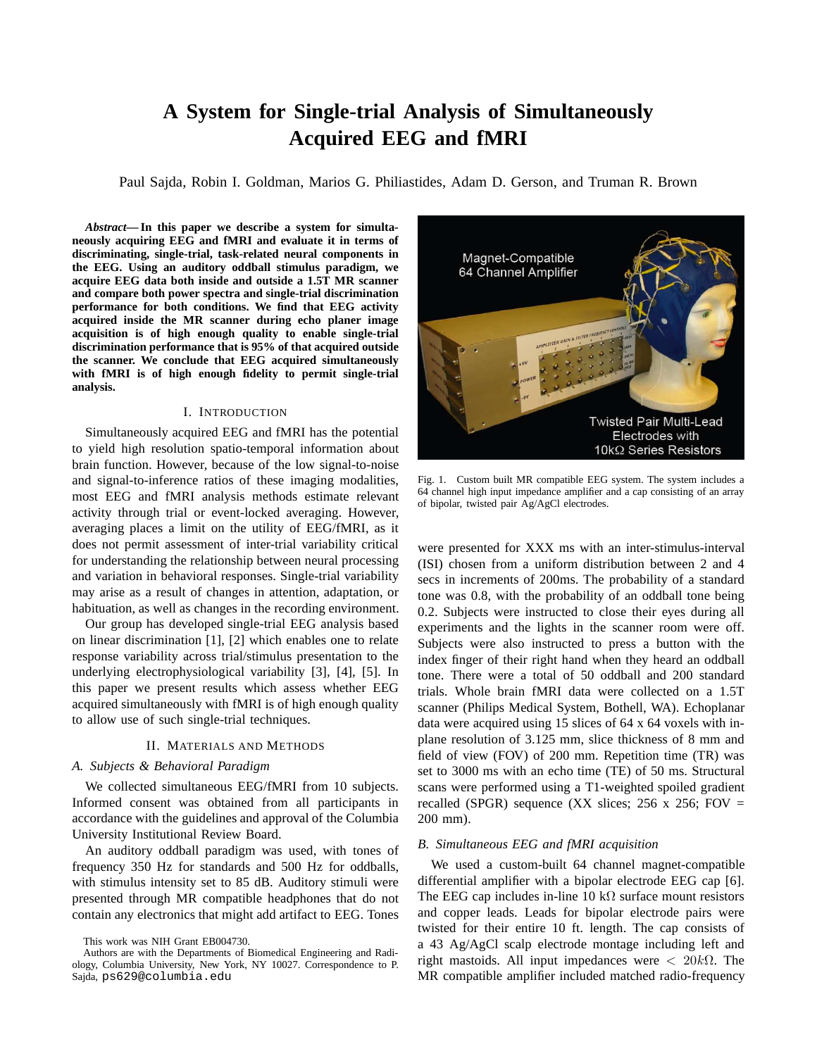# **A System for Single-trial Analysis of Simultaneously Acquired EEG and fMRI**

Paul Sajda, Robin I. Goldman, Marios G. Philiastides, Adam D. Gerson, and Truman R. Brown

*Abstract***— In this paper we describe a system for simultaneously acquiring EEG and fMRI and evaluate it in terms of discriminating, single-trial, task-related neural components in the EEG. Using an auditory oddball stimulus paradigm, we acquire EEG data both inside and outside a 1.5T MR scanner and compare both power spectra and single-trial discrimination performance for both conditions. We find that EEG activity acquired inside the MR scanner during echo planer image acquisition is of high enough quality to enable single-trial discrimination performance that is 95% of that acquired outside the scanner. We conclude that EEG acquired simultaneously with fMRI is of high enough fidelity to permit single-trial analysis.**

# I. INTRODUCTION

Simultaneously acquired EEG and fMRI has the potential to yield high resolution spatio-temporal information about brain function. However, because of the low signal-to-noise and signal-to-inference ratios of these imaging modalities, most EEG and fMRI analysis methods estimate relevant activity through trial or event-locked averaging. However, averaging places a limit on the utility of EEG/fMRI, as it does not permit assessment of inter-trial variability critical for understanding the relationship between neural processing and variation in behavioral responses. Single-trial variability may arise as a result of changes in attention, adaptation, or habituation, as well as changes in the recording environment.

Our group has developed single-trial EEG analysis based on linear discrimination [1], [2] which enables one to relate response variability across trial/stimulus presentation to the underlying electrophysiological variability [3], [4], [5]. In this paper we present results which assess whether EEG acquired simultaneously with fMRI is of high enough quality to allow use of such single-trial techniques.

## II. MATERIALS AND METHODS

#### *A. Subjects & Behavioral Paradigm*

We collected simultaneous EEG/fMRI from 10 subjects. Informed consent was obtained from all participants in accordance with the guidelines and approval of the Columbia University Institutional Review Board.

An auditory oddball paradigm was used, with tones of frequency 350 Hz for standards and 500 Hz for oddballs, with stimulus intensity set to 85 dB. Auditory stimuli were presented through MR compatible headphones that do not contain any electronics that might add artifact to EEG. Tones

This work was NIH Grant EB004730.



Fig. 1. Custom built MR compatible EEG system. The system includes a 64 channel high input impedance amplifier and a cap consisting of an array of bipolar, twisted pair Ag/AgCl electrodes.

were presented for XXX ms with an inter-stimulus-interval (ISI) chosen from a uniform distribution between 2 and 4 secs in increments of 200ms. The probability of a standard tone was 0.8, with the probability of an oddball tone being 0.2. Subjects were instructed to close their eyes during all experiments and the lights in the scanner room were off. Subjects were also instructed to press a button with the index finger of their right hand when they heard an oddball tone. There were a total of 50 oddball and 200 standard trials. Whole brain fMRI data were collected on a 1.5T scanner (Philips Medical System, Bothell, WA). Echoplanar data were acquired using 15 slices of 64 x 64 voxels with inplane resolution of 3.125 mm, slice thickness of 8 mm and field of view (FOV) of 200 mm. Repetition time (TR) was set to 3000 ms with an echo time (TE) of 50 ms. Structural scans were performed using a T1-weighted spoiled gradient recalled (SPGR) sequence (XX slices; 256 x 256; FOV  $=$ 200 mm).

## *B. Simultaneous EEG and fMRI acquisition*

We used a custom-built 64 channel magnet-compatible differential amplifier with a bipolar electrode EEG cap [6]. The EEG cap includes in-line 10 kΩ surface mount resistors and copper leads. Leads for bipolar electrode pairs were twisted for their entire 10 ft. length. The cap consists of a 43 Ag/AgCl scalp electrode montage including left and right mastoids. All input impedances were  $\langle 20k\Omega$ . The MR compatible amplifier included matched radio-frequency

Authors are with the Departments of Biomedical Engineering and Radiology, Columbia University, New York, NY 10027. Correspondence to P. Sajda, ps629@columbia.edu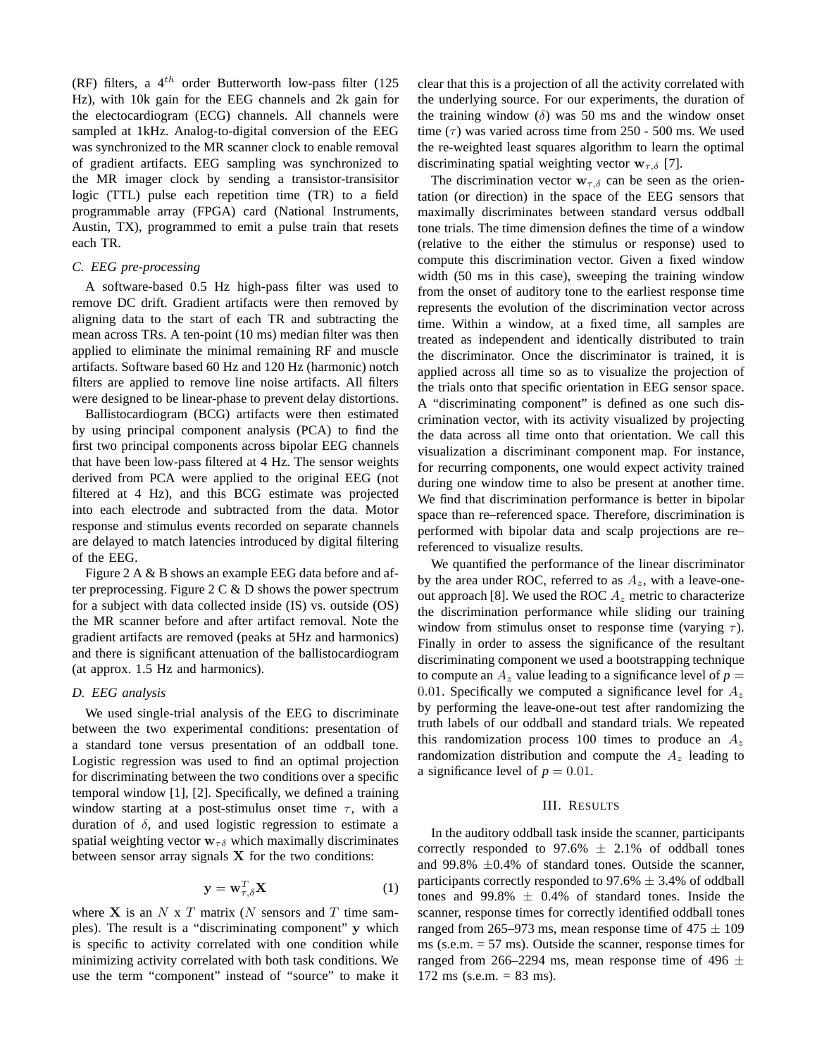(RF) filters, a  $4^{th}$  order Butterworth low-pass filter (125) Hz), with 10k gain for the EEG channels and 2k gain for the electocardiogram (ECG) channels. All channels were sampled at 1kHz. Analog-to-digital conversion of the EEG was synchronized to the MR scanner clock to enable removal of gradient artifacts. EEG sampling was synchronized to the MR imager clock by sending a transistor-transisitor logic (TTL) pulse each repetition time (TR) to a field programmable array (FPGA) card (National Instruments, Austin, TX), programmed to emit a pulse train that resets each TR.

# *C. EEG pre-processing*

A software-based 0.5 Hz high-pass filter was used to remove DC drift. Gradient artifacts were then removed by aligning data to the start of each TR and subtracting the mean across TRs. A ten-point (10 ms) median filter was then applied to eliminate the minimal remaining RF and muscle artifacts. Software based 60 Hz and 120 Hz (harmonic) notch filters are applied to remove line noise artifacts. All filters were designed to be linear-phase to prevent delay distortions.

Ballistocardiogram (BCG) artifacts were then estimated by using principal component analysis (PCA) to find the first two principal components across bipolar EEG channels that have been low-pass filtered at 4 Hz. The sensor weights derived from PCA were applied to the original EEG (not filtered at 4 Hz), and this BCG estimate was projected into each electrode and subtracted from the data. Motor response and stimulus events recorded on separate channels are delayed to match latencies introduced by digital filtering of the EEG.

Figure 2 A & B shows an example EEG data before and after preprocessing. Figure  $2 \mathcal{C} \& D$  shows the power spectrum for a subject with data collected inside (IS) vs. outside (OS) the MR scanner before and after artifact removal. Note the gradient artifacts are removed (peaks at 5Hz and harmonics) and there is significant attenuation of the ballistocardiogram (at approx. 1.5 Hz and harmonics).

#### *D. EEG analysis*

We used single-trial analysis of the EEG to discriminate between the two experimental conditions: presentation of a standard tone versus presentation of an oddball tone. Logistic regression was used to find an optimal projection for discriminating between the two conditions over a specific temporal window [1], [2]. Specifically, we defined a training window starting at a post-stimulus onset time  $\tau$ , with a duration of  $\delta$ , and used logistic regression to estimate a spatial weighting vector  $w_{\tau\delta}$  which maximally discriminates between sensor array signals  $X$  for the two conditions:

$$
\mathbf{y} = \mathbf{w}_{\tau,\delta}^T \mathbf{X} \tag{1}
$$

where  $X$  is an  $N \times T$  matrix (N sensors and T time samples). The result is a "discriminating component" y which is specific to activity correlated with one condition while minimizing activity correlated with both task conditions. We use the term "component" instead of "source" to make it clear that this is a projection of all the activity correlated with the underlying source. For our experiments, the duration of the training window  $(\delta)$  was 50 ms and the window onset time  $(τ)$  was varied across time from 250 - 500 ms. We used the re-weighted least squares algorithm to learn the optimal discriminating spatial weighting vector  $w_{\tau,\delta}$  [7].

The discrimination vector  $w_{\tau,\delta}$  can be seen as the orientation (or direction) in the space of the EEG sensors that maximally discriminates between standard versus oddball tone trials. The time dimension defines the time of a window (relative to the either the stimulus or response) used to compute this discrimination vector. Given a fixed window width (50 ms in this case), sweeping the training window from the onset of auditory tone to the earliest response time represents the evolution of the discrimination vector across time. Within a window, at a fixed time, all samples are treated as independent and identically distributed to train the discriminator. Once the discriminator is trained, it is applied across all time so as to visualize the projection of the trials onto that specific orientation in EEG sensor space. A "discriminating component" is defined as one such discrimination vector, with its activity visualized by projecting the data across all time onto that orientation. We call this visualization a discriminant component map. For instance, for recurring components, one would expect activity trained during one window time to also be present at another time. We find that discrimination performance is better in bipolar space than re–referenced space. Therefore, discrimination is performed with bipolar data and scalp projections are re– referenced to visualize results.

We quantified the performance of the linear discriminator by the area under ROC, referred to as  $A_z$ , with a leave-oneout approach [8]. We used the ROC  $A<sub>z</sub>$  metric to characterize the discrimination performance while sliding our training window from stimulus onset to response time (varying  $\tau$ ). Finally in order to assess the significance of the resultant discriminating component we used a bootstrapping technique to compute an  $A_z$  value leading to a significance level of  $p =$ 0.01. Specifically we computed a significance level for  $A_z$ by performing the leave-one-out test after randomizing the truth labels of our oddball and standard trials. We repeated this randomization process 100 times to produce an  $A_z$ randomization distribution and compute the  $A<sub>z</sub>$  leading to a significance level of  $p = 0.01$ .

## III. RESULTS

In the auditory oddball task inside the scanner, participants correctly responded to  $97.6\% \pm 2.1\%$  of oddball tones and 99.8%  $\pm 0.4$ % of standard tones. Outside the scanner, participants correctly responded to 97.6%  $\pm$  3.4% of oddball tones and  $99.8\% \pm 0.4\%$  of standard tones. Inside the scanner, response times for correctly identified oddball tones ranged from 265–973 ms, mean response time of  $475 \pm 109$ ms (s.e.m. = 57 ms). Outside the scanner, response times for ranged from 266–2294 ms, mean response time of 496  $\pm$  $172 \text{ ms } (s.e.m. = 83 \text{ ms}).$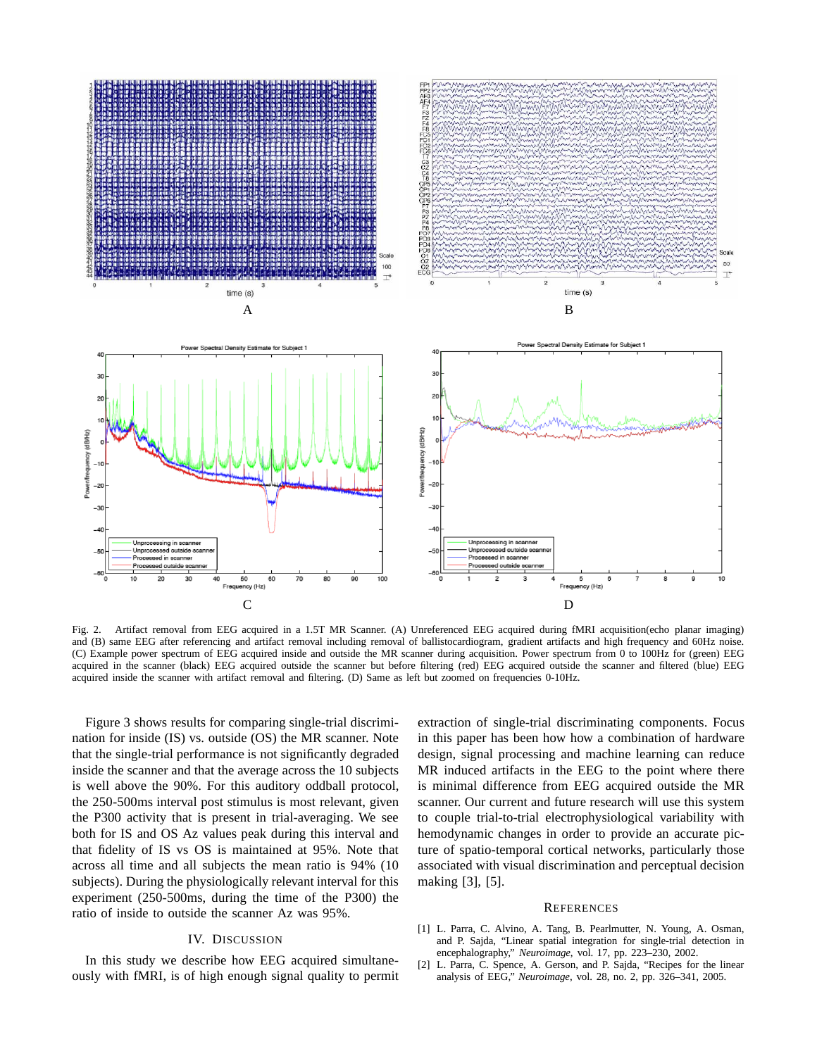

Fig. 2. Artifact removal from EEG acquired in a 1.5T MR Scanner. (A) Unreferenced EEG acquired during fMRI acquisition(echo planar imaging) and (B) same EEG after referencing and artifact removal including removal of ballistocardiogram, gradient artifacts and high frequency and 60Hz noise. (C) Example power spectrum of EEG acquired inside and outside the MR scanner during acquisition. Power spectrum from 0 to 100Hz for (green) EEG acquired in the scanner (black) EEG acquired outside the scanner but before filtering (red) EEG acquired outside the scanner and filtered (blue) EEG acquired inside the scanner with artifact removal and filtering. (D) Same as left but zoomed on frequencies 0-10Hz.

Figure 3 shows results for comparing single-trial discrimination for inside (IS) vs. outside (OS) the MR scanner. Note that the single-trial performance is not significantly degraded inside the scanner and that the average across the 10 subjects is well above the 90%. For this auditory oddball protocol, the 250-500ms interval post stimulus is most relevant, given the P300 activity that is present in trial-averaging. We see both for IS and OS Az values peak during this interval and that fidelity of IS vs OS is maintained at 95%. Note that across all time and all subjects the mean ratio is 94% (10 subjects). During the physiologically relevant interval for this experiment (250-500ms, during the time of the P300) the ratio of inside to outside the scanner Az was 95%.

## IV. DISCUSSION

In this study we describe how EEG acquired simultaneously with fMRI, is of high enough signal quality to permit extraction of single-trial discriminating components. Focus in this paper has been how how a combination of hardware design, signal processing and machine learning can reduce MR induced artifacts in the EEG to the point where there is minimal difference from EEG acquired outside the MR scanner. Our current and future research will use this system to couple trial-to-trial electrophysiological variability with hemodynamic changes in order to provide an accurate picture of spatio-temporal cortical networks, particularly those associated with visual discrimination and perceptual decision making [3], [5].

## **REFERENCES**

- [1] L. Parra, C. Alvino, A. Tang, B. Pearlmutter, N. Young, A. Osman, and P. Sajda, "Linear spatial integration for single-trial detection in encephalography," *Neuroimage*, vol. 17, pp. 223–230, 2002.
- [2] L. Parra, C. Spence, A. Gerson, and P. Sajda, "Recipes for the linear analysis of EEG," *Neuroimage*, vol. 28, no. 2, pp. 326–341, 2005.